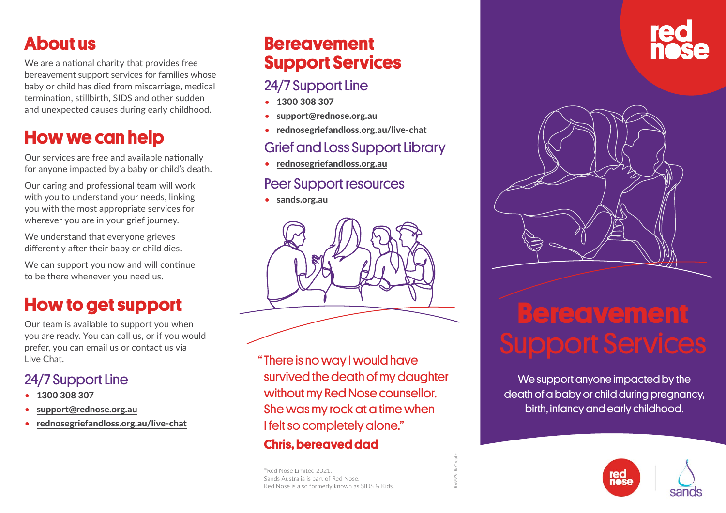# **About us**

We are a national charity that provides free bereavement support services for families whose baby or child has died from miscarriage, medical termination, stillbirth, SIDS and other sudden and unexpected causes during early childhood.

# **How we can help**

Our services are free and available nationally for anyone impacted by a baby or child's death.

Our caring and professional team will work with you to understand your needs, linking you with the most appropriate services for wherever you are in your grief journey.

We understand that everyone grieves differently after their baby or child dies.

We can support you now and will continue to be there whenever you need us.

# **How to get support**

Our team is available to support you when you are ready. You can call us, or if you would prefer, you can email us or contact us via Live Chat.

# 24/7 Support Line

- 1300 308 307
- [support@rednose.org.au](mailto:support@rednose.org.au)
- [rednosegriefandloss.org.au/live-chat](http://rednosegriefandloss.org.au/live-chat)

# **Bereavement Support Services**

# 24/7 Support Line

- 1300 308 307
- [support@rednose.org.au](mailto:support@rednose.org.au)
- [rednosegriefandloss.org.au/live-chat](http://rednosegriefandloss.org.au/live-chat)

# Grief and Loss Support Library

• [rednosegriefandloss.org.au](http://rednosegriefandloss.org.au)

#### Peer Support resources

• [sands.org.au](http://sands.org.au)



" There is no way I would have survived the death of my daughter without my Red Nose counsellor. She was my rock at a time when I felt so completely alone."

RA993a RaCreate

#### **Chris, bereaved dad**

©Red Nose Limited 2021. Sands Australia is part of Red Nose. Red Nose is also formerly known as SIDS & Kids.



# **Bereavement** Support Services

We support anyone impacted by the death of a baby or child during pregnancy, birth, infancy and early childhood.